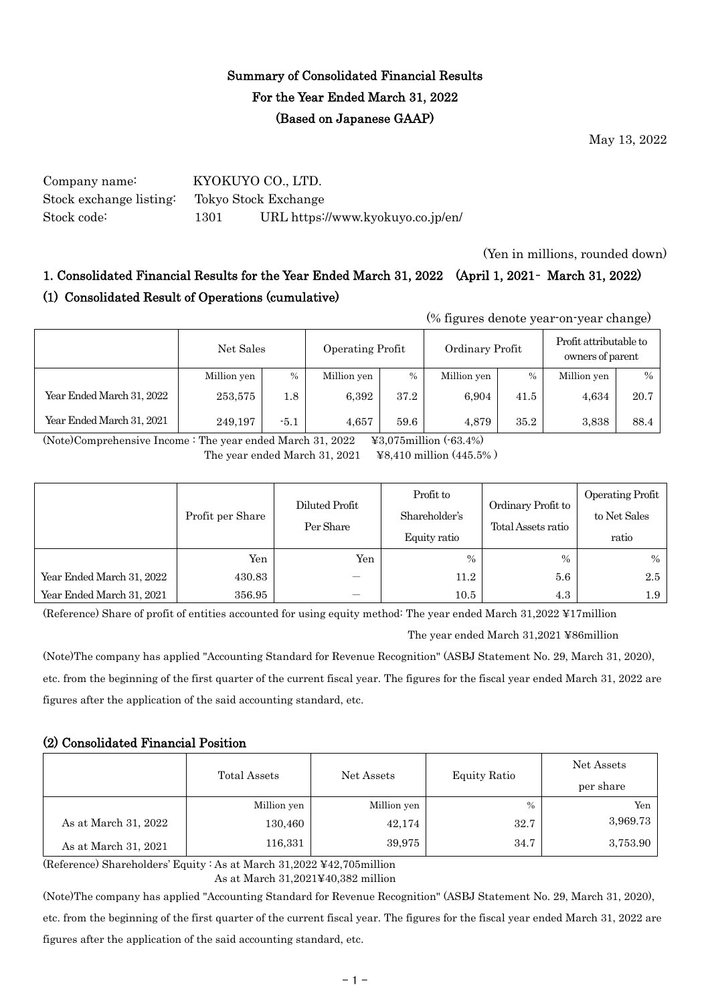# Summary of Consolidated Financial Results For the Year Ended March 31, 2022 (Based on Japanese GAAP)

May 13, 2022

Company name: KYOKUYO CO., LTD. Stock exchange listing: Tokyo Stock Exchange Stock code: 1301 URL https://www.kyokuyo.co.jp/en/

(Yen in millions, rounded down)

# 1. Consolidated Financial Results for the Year Ended March 31, 2022 (April 1, 2021– March 31, 2022) (1) Consolidated Result of Operations (cumulative)

(% figures denote year-on-year change)

|                           | Net Sales   |               | Operating Profit |      | Ordinary Profit |               | Profit attributable to<br>owners of parent |      |
|---------------------------|-------------|---------------|------------------|------|-----------------|---------------|--------------------------------------------|------|
|                           | Million yen | $\frac{0}{0}$ | Million yen      | $\%$ | Million yen     | $\frac{0}{0}$ | Million yen                                | $\%$ |
| Year Ended March 31, 2022 | 253,575     | 1.8           | 6.392            | 37.2 | 6.904           | 41.5          | 4,634                                      | 20.7 |
| Year Ended March 31, 2021 | 249.197     | $-5.1$        | 4,657            | 59.6 | 4.879           | 35.2          | 3,838                                      | 88.4 |

(Note)Comprehensive Income : The year ended March 31, 2022 ¥3,075million (-63.4%) The year ended March 31, 2021 ¥8,410 million (445.5% )

|                           | Profit per Share | Diluted Profit<br>Per Share | Profit to<br>Shareholder's<br>Equity ratio | Ordinary Profit to<br>Total Assets ratio | Operating Profit<br>to Net Sales<br>ratio |
|---------------------------|------------------|-----------------------------|--------------------------------------------|------------------------------------------|-------------------------------------------|
|                           | Yen              | Yen                         | $\frac{0}{0}$                              | $\frac{0}{0}$                            | $\%$                                      |
| Year Ended March 31, 2022 | 430.83           |                             | 11.2                                       | 5.6                                      | 2.5                                       |
| Year Ended March 31, 2021 | 356.95           |                             | 10.5                                       | 4.3                                      | 1.9                                       |

(Reference) Share of profit of entities accounted for using equity method: The year ended March 31,2022 ¥17million

The year ended March 31,2021 ¥86million

(Note)The company has applied "Accounting Standard for Revenue Recognition" (ASBJ Statement No. 29, March 31, 2020), etc. from the beginning of the first quarter of the current fiscal year. The figures for the fiscal year ended March 31, 2022 are figures after the application of the said accounting standard, etc.

## (2) Consolidated Financial Position

|                      | Total Assets | Net Assets  | Equity Ratio | Net Assets<br>per share |  |
|----------------------|--------------|-------------|--------------|-------------------------|--|
|                      | Million yen  | Million yen | $\%$         | Yen                     |  |
| As at March 31, 2022 | 130,460      | 42,174      | 32.7         | 3,969.73                |  |
| As at March 31, 2021 | 116,331      | 39,975      | 34.7         | 3,753.90                |  |

(Reference) Shareholders' Equity : As at March 31,2022 ¥42,705million

As at March 31,2021¥40,382 million

(Note)The company has applied "Accounting Standard for Revenue Recognition" (ASBJ Statement No. 29, March 31, 2020), etc. from the beginning of the first quarter of the current fiscal year. The figures for the fiscal year ended March 31, 2022 are figures after the application of the said accounting standard, etc.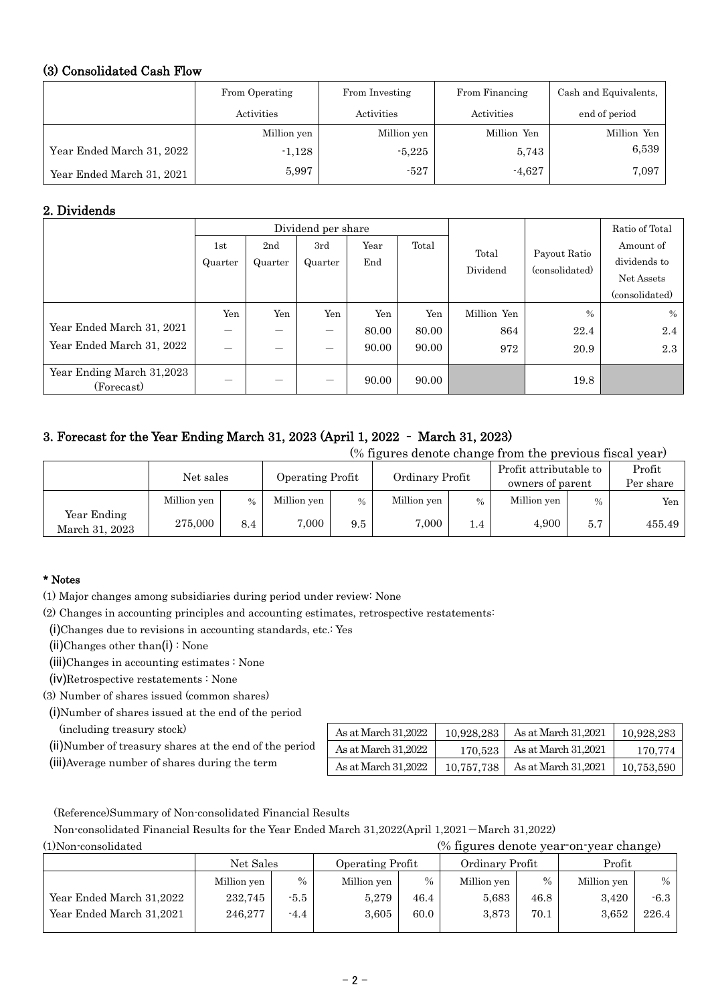## (3) Consolidated Cash Flow

|                           | From Operating | From Investing | From Financing | Cash and Equivalents. |  |
|---------------------------|----------------|----------------|----------------|-----------------------|--|
|                           | Activities     | Activities     | Activities     | end of period         |  |
|                           | Million yen    | Million yen    | Million Yen    | Million Yen           |  |
| Year Ended March 31, 2022 | $-1,128$       | $-5,225$       | 5,743          | 6,539                 |  |
| Year Ended March 31, 2021 | 5,997          | $-527$         | $-4,627$       | 7,097                 |  |

## 2. Dividends

|                                         |                          |                 | Dividend per share |       |       |             |                                | Ratio of Total |
|-----------------------------------------|--------------------------|-----------------|--------------------|-------|-------|-------------|--------------------------------|----------------|
|                                         | 1st                      | 2 <sub>nd</sub> | 3rd                | Year  | Total | Total       |                                | Amount of      |
|                                         | Quarter                  | Quarter         | Quarter            | End   |       |             | Payout Ratio<br>(consolidated) | dividends to   |
|                                         |                          |                 |                    |       |       | Dividend    |                                | Net Assets     |
|                                         |                          |                 |                    |       |       |             |                                | (consolidated) |
|                                         | Yen                      | Yen             | Yen                | Yen   | Yen   | Million Yen | $\frac{0}{0}$                  | $\%$           |
| Year Ended March 31, 2021               | $\overline{\phantom{0}}$ |                 | —                  | 80.00 | 80.00 | 864         | 22.4                           | 2.4            |
| Year Ended March 31, 2022               | $\overline{\phantom{0}}$ |                 | —                  | 90.00 | 90.00 | 972         | 20.9                           | 2.3            |
| Year Ending March 31,2023<br>(Forecast) |                          |                 | —                  | 90.00 | 90.00 |             | 19.8                           |                |

# 3. Forecast for the Year Ending March 31, 2023 (April 1, 2022 – March 31, 2023)

(% figures denote change from the previous fiscal year)

|                               | Net sales   |      | <b>Operating Profit</b> |      | Ordinary Profit |               | Profit attributable to<br>owners of parent |      | Profit<br>Per share |
|-------------------------------|-------------|------|-------------------------|------|-----------------|---------------|--------------------------------------------|------|---------------------|
|                               | Million yen | $\%$ | Million yen             | $\%$ | Million yen     | $\frac{0}{0}$ | Million yen                                | $\%$ | Yen                 |
| Year Ending<br>March 31, 2023 | 275,000     | 8.4  | 7,000                   | 9.5  | 7,000           | 1.4           | 4.900                                      | 5.7  | 455.49              |

## \* Notes

(1) Major changes among subsidiaries during period under review: None

(2) Changes in accounting principles and accounting estimates, retrospective restatements:

(i)Changes due to revisions in accounting standards, etc.: Yes

(ii)Changes other than(i) : None

(iii)Changes in accounting estimates : None

(iv)Retrospective restatements : None

(3) Number of shares issued (common shares)

(i)Number of shares issued at the end of the period

(including treasury stock)

- (ii)Number of treasury shares at the end of the period
- (iii)Average number of shares during the term

| As at March 31.2022 | 10.928.283 | As at March 31.2021 | 10,928,283 |
|---------------------|------------|---------------------|------------|
| As at March 31,2022 | 170.523    | As at March 31,2021 | 170.774    |
| As at March 31.2022 | 10.757.738 | As at March 31,2021 | 10,753,590 |

 $(%$  figures denote year-on-year change)

(Reference)Summary of Non-consolidated Financial Results

Non-consolidated Financial Results for the Year Ended March 31,2022(April 1,2021-March 31,2022)

|                          | Net Sales   |        | Operating Profit |      | Ordinary Profit |      | Profit      |        |
|--------------------------|-------------|--------|------------------|------|-----------------|------|-------------|--------|
|                          | Million yen | $\%$   | Million yen      | $\%$ | Million yen     | $\%$ | Million yen | $\%$   |
| Year Ended March 31,2022 | 232.745     | $-5.5$ | 5,279            | 46.4 | 5,683           | 46.8 | 3,420       | $-6.3$ |
| Year Ended March 31,2021 | 246.277     | $-4.4$ | 3.605            | 60.0 | 3.873           | 70.1 | 3.652       | 226.4  |
|                          |             |        |                  |      |                 |      |             |        |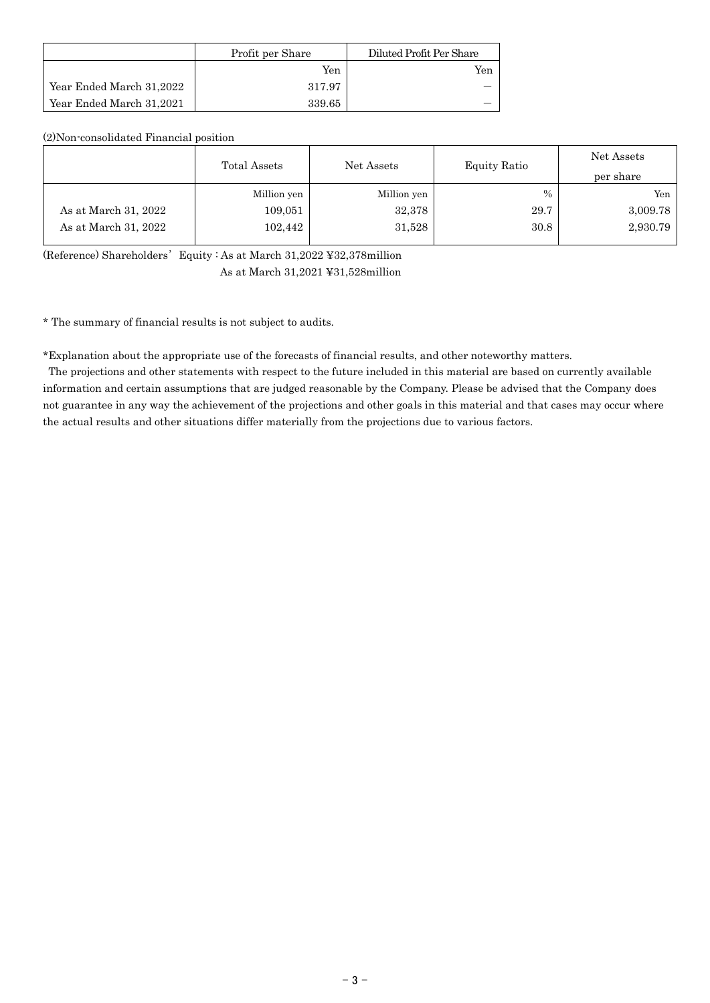|                          | Profit per Share | Diluted Profit Per Share |
|--------------------------|------------------|--------------------------|
|                          | Yen              | Yen                      |
| Year Ended March 31,2022 | 317.97           |                          |
| Year Ended March 31,2021 | 339.65           |                          |

(2)Non-consolidated Financial position

|                      | Total Assets | Net Assets  | Equity Ratio  | Net Assets<br>per share |
|----------------------|--------------|-------------|---------------|-------------------------|
|                      | Million yen  | Million yen | $\frac{0}{0}$ | Yen                     |
| As at March 31, 2022 | 109,051      | 32,378      | 29.7          | 3,009.78                |
| As at March 31, 2022 | 102,442      | 31,528      | 30.8          | 2,930.79                |

(Reference) Shareholders'Equity : As at March 31,2022 ¥32,378million

As at March 31,2021 ¥31,528million

\* The summary of financial results is not subject to audits.

\*Explanation about the appropriate use of the forecasts of financial results, and other noteworthy matters.

The projections and other statements with respect to the future included in this material are based on currently available information and certain assumptions that are judged reasonable by the Company. Please be advised that the Company does not guarantee in any way the achievement of the projections and other goals in this material and that cases may occur where the actual results and other situations differ materially from the projections due to various factors.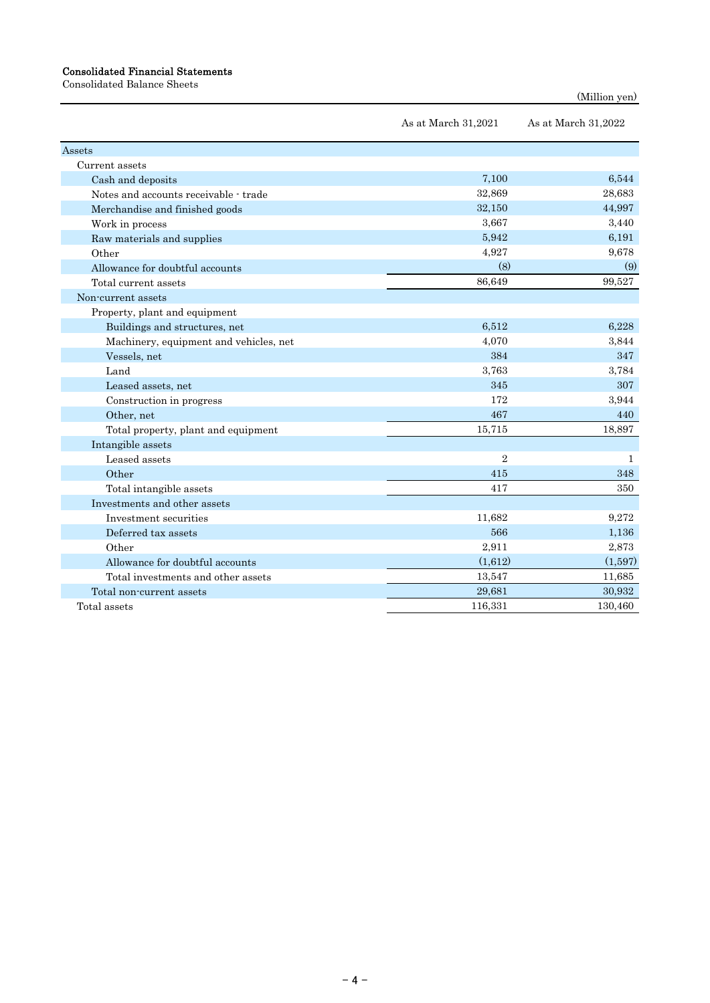#### Consolidated Financial Statements

Consolidated Balance Sheets

```
(Million yen)
```

|                                        | As at March 31,2021 | As at March 31,2022 |
|----------------------------------------|---------------------|---------------------|
| Assets                                 |                     |                     |
| Current assets                         |                     |                     |
| Cash and deposits                      | 7,100               | 6,544               |
| Notes and accounts receivable - trade  | 32,869              | 28,683              |
| Merchandise and finished goods         | 32,150              | 44,997              |
| Work in process                        | 3,667               | 3,440               |
| Raw materials and supplies             | 5,942               | 6,191               |
| Other                                  | 4,927               | 9,678               |
| Allowance for doubtful accounts        | (8)                 | (9)                 |
| Total current assets                   | 86,649              | 99,527              |
| Non-current assets                     |                     |                     |
| Property, plant and equipment          |                     |                     |
| Buildings and structures, net          | 6,512               | 6,228               |
| Machinery, equipment and vehicles, net | 4,070               | 3,844               |
| Vessels, net                           | 384                 | 347                 |
| Land                                   | 3,763               | 3,784               |
| Leased assets, net                     | 345                 | 307                 |
| Construction in progress               | 172                 | 3,944               |
| Other, net                             | 467                 | 440                 |
| Total property, plant and equipment    | 15,715              | 18,897              |
| Intangible assets                      |                     |                     |
| Leased assets                          | $\overline{2}$      | 1                   |
| Other                                  | 415                 | 348                 |
| Total intangible assets                | 417                 | 350                 |
| Investments and other assets           |                     |                     |
| Investment securities                  | 11,682              | 9,272               |
| Deferred tax assets                    | 566                 | 1,136               |
| Other                                  | 2,911               | 2,873               |
| Allowance for doubtful accounts        | (1,612)             | (1,597)             |
| Total investments and other assets     | 13,547              | 11,685              |
| Total non-current assets               | 29,681              | 30,932              |
| Total assets                           | 116,331             | 130,460             |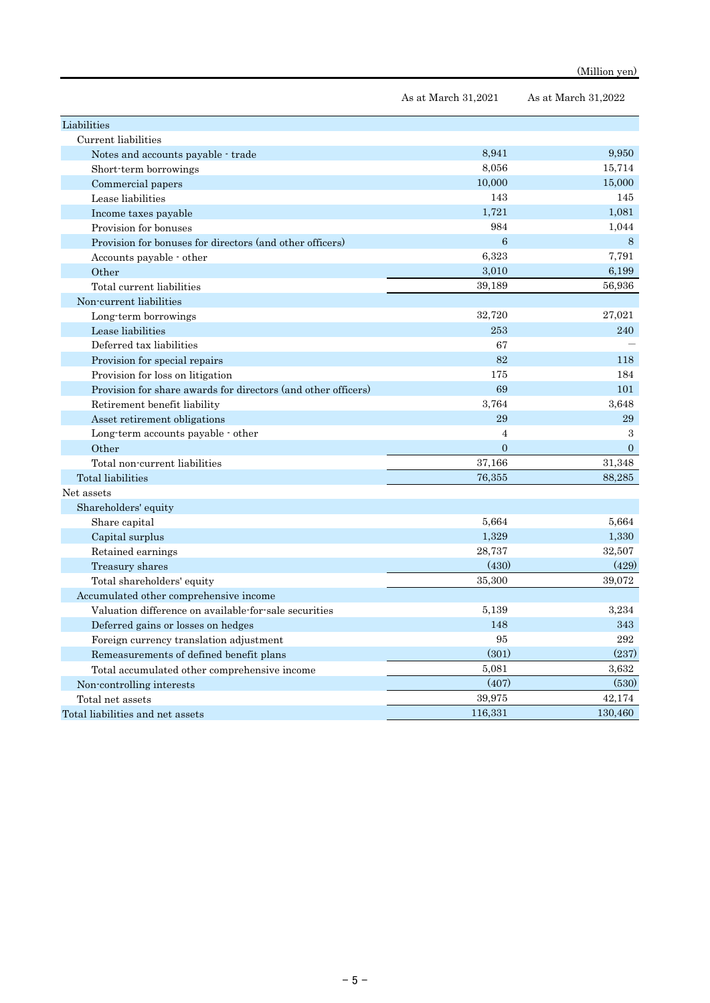|                                                               | As at March 31,2021 | As at March 31,2022 |
|---------------------------------------------------------------|---------------------|---------------------|
| Liabilities                                                   |                     |                     |
| Current liabilities                                           |                     |                     |
| Notes and accounts payable - trade                            | 8,941               | 9,950               |
| Short-term borrowings                                         | 8,056               | 15,714              |
| Commercial papers                                             | 10,000              | 15,000              |
| Lease liabilities                                             | 143                 | 145                 |
| Income taxes payable                                          | 1,721               | 1,081               |
| Provision for bonuses                                         | 984                 | 1,044               |
| Provision for bonuses for directors (and other officers)      | $6\phantom{1}6$     | 8                   |
| Accounts payable - other                                      | 6,323               | 7,791               |
| Other                                                         | 3,010               | 6,199               |
| Total current liabilities                                     | 39,189              | 56,936              |
| Non-current liabilities                                       |                     |                     |
| Long-term borrowings                                          | 32,720              | 27,021              |
| Lease liabilities                                             | 253                 | 240                 |
| Deferred tax liabilities                                      | 67                  |                     |
| Provision for special repairs                                 | 82                  | 118                 |
| Provision for loss on litigation                              | 175                 | 184                 |
| Provision for share awards for directors (and other officers) | 69                  | 101                 |
| Retirement benefit liability                                  | 3,764               | 3,648               |
| Asset retirement obligations                                  | 29                  | 29                  |
| Long-term accounts payable - other                            | 4                   | 3                   |
| Other                                                         | $\overline{0}$      | $\Omega$            |
| Total non-current liabilities                                 | 37,166              | 31,348              |
| Total liabilities                                             | 76,355              | 88,285              |
| Net assets                                                    |                     |                     |
| Shareholders' equity                                          |                     |                     |
| Share capital                                                 | 5,664               | 5,664               |
| Capital surplus                                               | 1,329               | 1,330               |
| Retained earnings                                             | 28,737              | 32,507              |
| Treasury shares                                               | (430)               | (429)               |
| Total shareholders' equity                                    | 35,300              | 39,072              |
| Accumulated other comprehensive income                        |                     |                     |
| Valuation difference on available for sale securities         | 5,139               | 3,234               |
| Deferred gains or losses on hedges                            | 148                 | 343                 |
| Foreign currency translation adjustment                       | 95                  | 292                 |
| Remeasurements of defined benefit plans                       | (301)               | (237)               |
| Total accumulated other comprehensive income                  | 5,081               | 3,632               |
| Non-controlling interests                                     | (407)               | (530)               |
| Total net assets                                              | 39,975              | 42,174              |
| Total liabilities and net assets                              | 116,331             | 130,460             |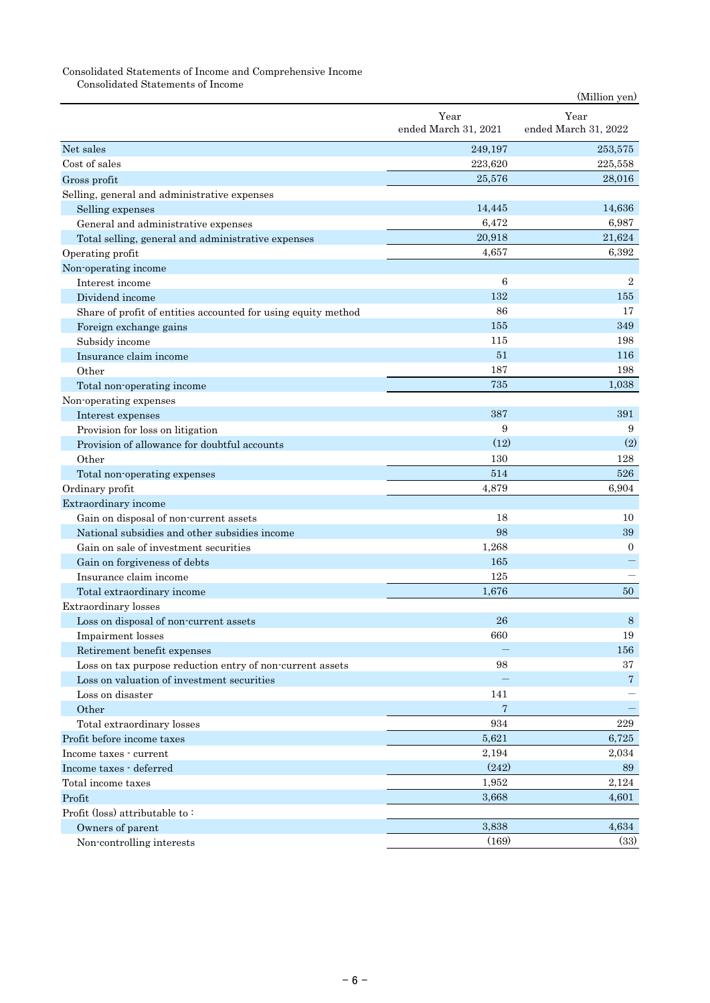### Consolidated Statements of Income and Comprehensive Income

Consolidated Statements of Income

|                                                               |                      | (Million yen)        |
|---------------------------------------------------------------|----------------------|----------------------|
|                                                               | Year                 | Year                 |
|                                                               | ended March 31, 2021 | ended March 31, 2022 |
| Net sales                                                     | 249,197              | 253,575              |
| Cost of sales                                                 | 223,620              | 225,558              |
| Gross profit                                                  | 25,576               | 28,016               |
| Selling, general and administrative expenses                  |                      |                      |
| Selling expenses                                              | 14,445               | 14,636               |
| General and administrative expenses                           | 6,472                | 6,987                |
| Total selling, general and administrative expenses            | 20,918               | 21,624               |
| Operating profit                                              | 4,657                | 6,392                |
| Non-operating income                                          |                      |                      |
| Interest income                                               | 6                    | $\overline{2}$       |
| Dividend income                                               | 132                  | 155                  |
| Share of profit of entities accounted for using equity method | 86                   | 17                   |
| Foreign exchange gains                                        | 155                  | 349                  |
| Subsidy income                                                | 115                  | 198                  |
| Insurance claim income                                        | 51                   | 116                  |
| Other                                                         | 187                  | 198                  |
| Total non-operating income                                    | 735                  | 1,038                |
| Non-operating expenses                                        |                      |                      |
| Interest expenses                                             | 387                  | 391                  |
| Provision for loss on litigation                              | 9                    | 9                    |
| Provision of allowance for doubtful accounts                  | (12)                 | (2)                  |
| Other                                                         | 130                  | 128                  |
| Total non-operating expenses                                  | 514                  | 526                  |
| Ordinary profit                                               | 4,879                | 6,904                |
| Extraordinary income                                          |                      |                      |
| Gain on disposal of non-current assets                        | 18                   | 10                   |
| National subsidies and other subsidies income                 | 98                   | 39                   |
| Gain on sale of investment securities                         | 1,268                | $\overline{0}$       |
| Gain on forgiveness of debts                                  | 165                  |                      |
| Insurance claim income                                        | 125                  |                      |
| Total extraordinary income                                    | 1,676                | 50                   |
| <b>Extraordinary</b> losses                                   |                      |                      |
| Loss on disposal of non-current assets                        | 26                   | 8                    |
| Impairment losses                                             | 660                  | 19                   |
| Retirement benefit expenses                                   |                      | 156                  |
| Loss on tax purpose reduction entry of non-current assets     | 98                   | 37                   |
| Loss on valuation of investment securities                    |                      | $\overline{7}$       |
| Loss on disaster                                              | 141                  |                      |
| Other                                                         | 7                    |                      |
| Total extraordinary losses                                    | 934                  | 229                  |
| Profit before income taxes                                    | 5,621                | 6,725                |
| Income taxes - current                                        | 2,194                | 2,034                |
| Income taxes - deferred                                       | (242)                | 89                   |
| Total income taxes                                            | 1,952                | 2,124                |
| Profit                                                        | 3,668                | 4,601                |
| Profit (loss) attributable to:                                |                      |                      |
| Owners of parent                                              | 3,838                | 4,634                |
| Non-controlling interests                                     | (169)                | (33)                 |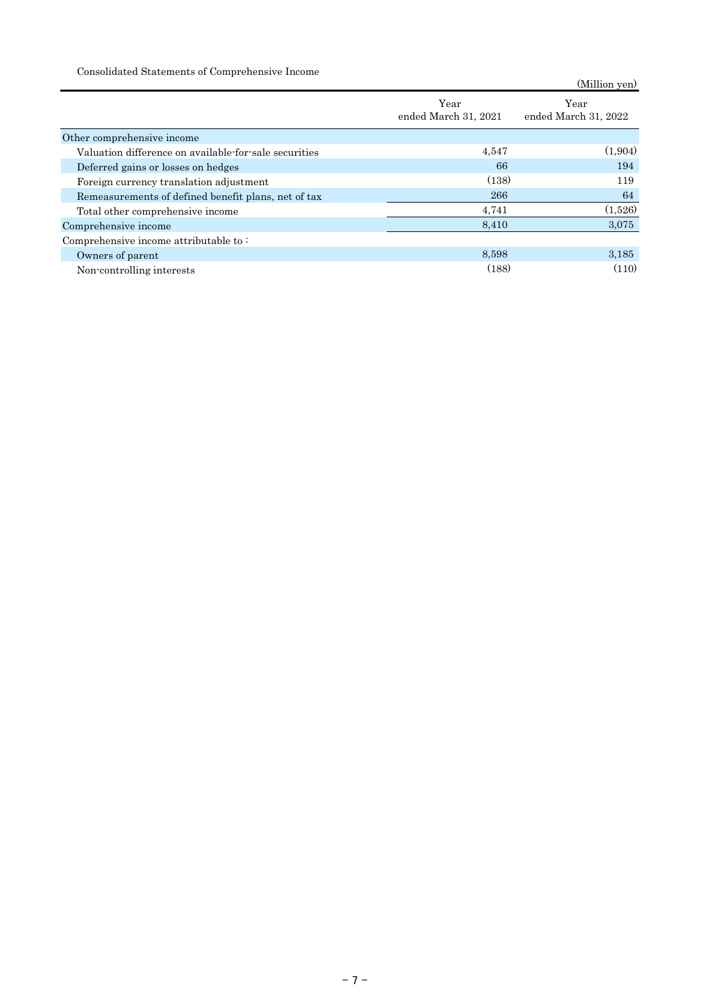Consolidated Statements of Comprehensive Income

| Consonation Dialoniches of Comprendition to Hitchite  |                              | (Million yen)                |
|-------------------------------------------------------|------------------------------|------------------------------|
|                                                       | Year<br>ended March 31, 2021 | Year<br>ended March 31, 2022 |
| Other comprehensive income                            |                              |                              |
| Valuation difference on available-for-sale securities | 4,547                        | (1.904)                      |
| Deferred gains or losses on hedges                    | 66                           | 194                          |
| Foreign currency translation adjustment               | (138)                        | 119                          |
| Remeasurements of defined benefit plans, net of tax   | 266                          | 64                           |
| Total other comprehensive income                      | 4,741                        | (1,526)                      |
| Comprehensive income                                  | 8,410                        | 3,075                        |
| Comprehensive income attributable to:                 |                              |                              |
| Owners of parent                                      | 8.598                        | 3,185                        |
| Non-controlling interests                             | (188)                        | (110)                        |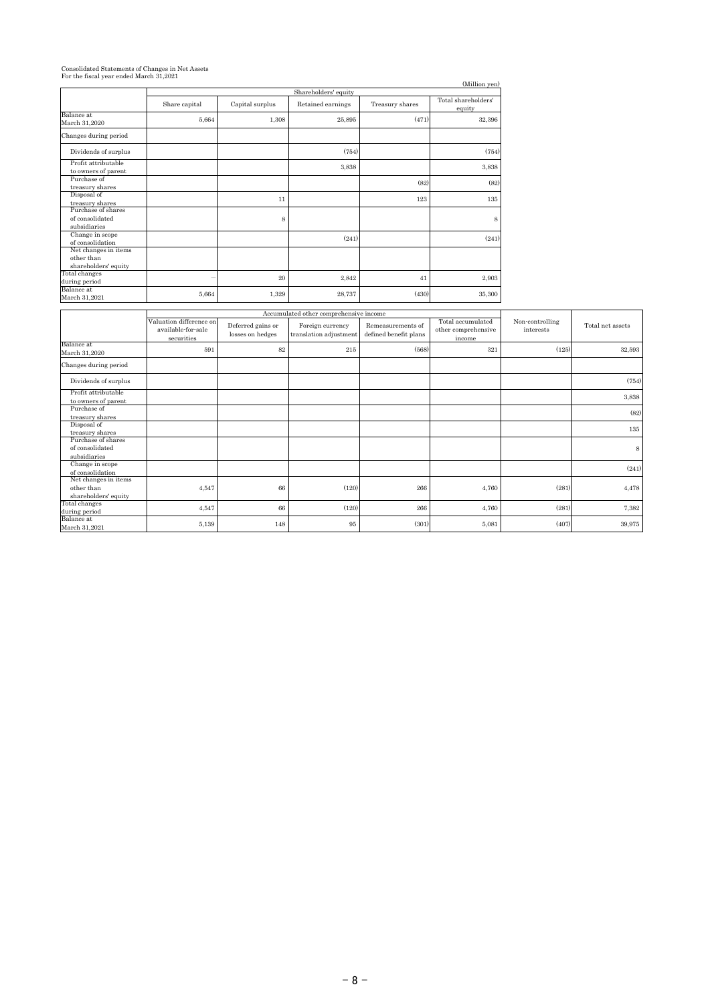# Consolidated Statements of Changes in Net Assets For the fiscal year ended March 31,2021

|                                                            |                      |                 |                   |                 | (Million yen)                 |  |  |  |
|------------------------------------------------------------|----------------------|-----------------|-------------------|-----------------|-------------------------------|--|--|--|
|                                                            | Shareholders' equity |                 |                   |                 |                               |  |  |  |
|                                                            | Share capital        | Capital surplus | Retained earnings | Treasury shares | Total shareholders'<br>equity |  |  |  |
| Balance at<br>March 31,2020                                | 5,664                | 1,308           | 25,895            | (471)           | 32,396                        |  |  |  |
| Changes during period                                      |                      |                 |                   |                 |                               |  |  |  |
| Dividends of surplus                                       |                      |                 | (754)             |                 | (754)                         |  |  |  |
| Profit attributable<br>to owners of parent                 |                      |                 | 3,838             |                 | 3,838                         |  |  |  |
| Purchase of<br>treasury shares                             |                      |                 |                   | (82)            | (82)                          |  |  |  |
| Disposal of<br>treasury shares                             |                      | 11              |                   | 123             | 135                           |  |  |  |
| Purchase of shares<br>of consolidated<br>subsidiaries      |                      | 8               |                   |                 | 8                             |  |  |  |
| Change in scope<br>of consolidation                        |                      |                 | (241)             |                 | (241)                         |  |  |  |
| Net changes in items<br>other than<br>shareholders' equity |                      |                 |                   |                 |                               |  |  |  |
| Total changes<br>during period                             |                      | 20              | 2,842             | 41              | 2,903                         |  |  |  |
| Balance at<br>March 31,2021                                | 5,664                | 1,329           | 28,737            | (430)           | 35,300                        |  |  |  |

|                                                            |                                                             |                                       | Accumulated other comprehensive income     |                                            |                                                    |                              | Total net assets |
|------------------------------------------------------------|-------------------------------------------------------------|---------------------------------------|--------------------------------------------|--------------------------------------------|----------------------------------------------------|------------------------------|------------------|
|                                                            | Valuation difference on<br>available-for-sale<br>securities | Deferred gains or<br>losses on hedges | Foreign currency<br>translation adjustment | Remeasurements of<br>defined benefit plans | Total accumulated<br>other comprehensive<br>income | Non-controlling<br>interests |                  |
| Balance at<br>March 31,2020                                | 591                                                         | 82                                    | 215                                        | (568)                                      | 321                                                | (125)                        | 32,593           |
| Changes during period                                      |                                                             |                                       |                                            |                                            |                                                    |                              |                  |
| Dividends of surplus                                       |                                                             |                                       |                                            |                                            |                                                    |                              | (754)            |
| Profit attributable<br>to owners of parent                 |                                                             |                                       |                                            |                                            |                                                    |                              | 3,838            |
| Purchase of<br>treasury shares                             |                                                             |                                       |                                            |                                            |                                                    |                              | (82)             |
| Disposal of<br>treasury shares                             |                                                             |                                       |                                            |                                            |                                                    |                              | 135              |
| Purchase of shares<br>of consolidated<br>subsidiaries      |                                                             |                                       |                                            |                                            |                                                    |                              | 8                |
| Change in scope<br>of consolidation                        |                                                             |                                       |                                            |                                            |                                                    |                              | (241)            |
| Net changes in items<br>other than<br>shareholders' equity | 4,547                                                       | 66                                    | (120)                                      | 266                                        | 4,760                                              | (281)                        | 4,478            |
| Total changes<br>during period                             | 4,547                                                       | 66                                    | (120)                                      | 266                                        | 4,760                                              | (281)                        | 7,382            |
| Balance at<br>March 31,2021                                | 5,139                                                       | 148                                   | 95                                         | (301)                                      | 5,081                                              | (407)                        | 39,975           |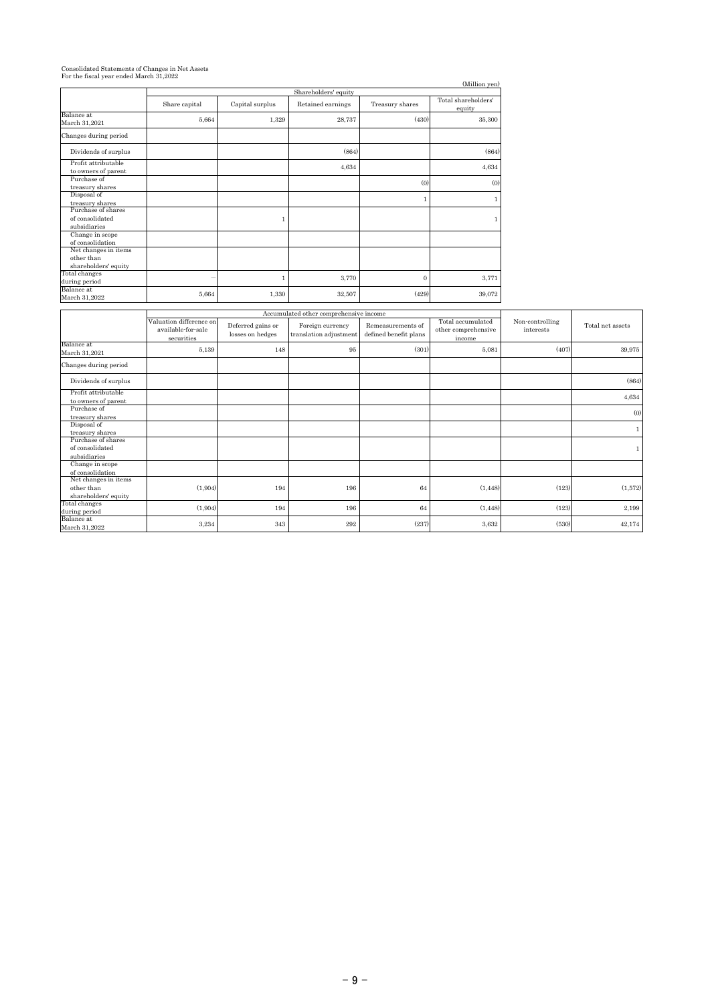# Consolidated Statements of Changes in Net Assets For the fiscal year ended March 31,2022

|                                                            |                      |                 |                   |                 | (Million yen)                 |  |  |
|------------------------------------------------------------|----------------------|-----------------|-------------------|-----------------|-------------------------------|--|--|
|                                                            | Shareholders' equity |                 |                   |                 |                               |  |  |
|                                                            | Share capital        | Capital surplus | Retained earnings | Treasury shares | Total shareholders'<br>equity |  |  |
| Balance at<br>March 31,2021                                | 5,664                | 1,329           | 28,737            | (430)           | 35,300                        |  |  |
| Changes during period                                      |                      |                 |                   |                 |                               |  |  |
| Dividends of surplus                                       |                      |                 | (864)             |                 | (864)                         |  |  |
| Profit attributable<br>to owners of parent                 |                      |                 | 4,634             |                 | 4,634                         |  |  |
| Purchase of<br>treasury shares                             |                      |                 |                   | (0)             | (0)                           |  |  |
| Disposal of<br>treasury shares                             |                      |                 |                   | $\mathbf{1}$    | $\mathbf{1}$                  |  |  |
| Purchase of shares<br>of consolidated<br>subsidiaries      |                      | 1               |                   |                 | $\mathbf{1}$                  |  |  |
| Change in scope<br>of consolidation                        |                      |                 |                   |                 |                               |  |  |
| Net changes in items<br>other than<br>shareholders' equity |                      |                 |                   |                 |                               |  |  |
| Total changes<br>during period<br>Balance at               |                      |                 | 3,770             | $\Omega$        | 3,771                         |  |  |
| March 31,2022                                              | 5,664                | 1,330           | 32,507            | (429)           | 39,072                        |  |  |

|                                                            |                                                             | Accumulated other comprehensive income |                                            |                                            |                                                    |                              |                  |
|------------------------------------------------------------|-------------------------------------------------------------|----------------------------------------|--------------------------------------------|--------------------------------------------|----------------------------------------------------|------------------------------|------------------|
|                                                            | Valuation difference on<br>available-for-sale<br>securities | Deferred gains or<br>losses on hedges  | Foreign currency<br>translation adjustment | Remeasurements of<br>defined benefit plans | Total accumulated<br>other comprehensive<br>income | Non-controlling<br>interests | Total net assets |
| Balance at<br>March 31,2021                                | 5,139                                                       | 148                                    | 95                                         | (301)                                      | 5,081                                              | (407)                        | 39,975           |
| Changes during period                                      |                                                             |                                        |                                            |                                            |                                                    |                              |                  |
| Dividends of surplus                                       |                                                             |                                        |                                            |                                            |                                                    |                              | (864)            |
| Profit attributable<br>to owners of parent                 |                                                             |                                        |                                            |                                            |                                                    |                              | 4,634            |
| Purchase of<br>treasury shares                             |                                                             |                                        |                                            |                                            |                                                    |                              | (0)              |
| Disposal of<br>treasury shares                             |                                                             |                                        |                                            |                                            |                                                    |                              |                  |
| Purchase of shares<br>of consolidated<br>subsidiaries      |                                                             |                                        |                                            |                                            |                                                    |                              |                  |
| Change in scope<br>of consolidation                        |                                                             |                                        |                                            |                                            |                                                    |                              |                  |
| Net changes in items<br>other than<br>shareholders' equity | (1,904)                                                     | 194                                    | 196                                        | 64                                         | (1, 448)                                           | (123)                        | (1,572)          |
| Total changes<br>during period                             | (1,904)                                                     | 194                                    | 196                                        | 64                                         | (1, 448)                                           | (123)                        | 2,199            |
| Balance at<br>March 31,2022                                | 3,234                                                       | 343                                    | 292                                        | (237)                                      | 3,632                                              | (530)                        | 42,174           |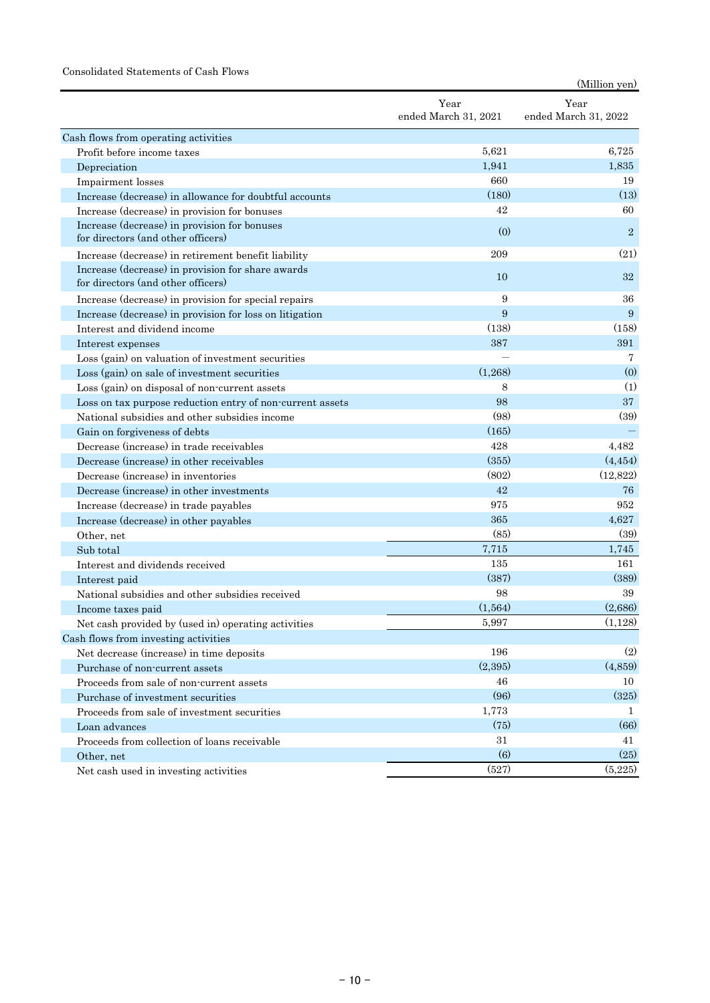#### Consolidated Statements of Cash Flows

|                                                                                         |                              | (Million yen)                |
|-----------------------------------------------------------------------------------------|------------------------------|------------------------------|
|                                                                                         | Year<br>ended March 31, 2021 | Year<br>ended March 31, 2022 |
| Cash flows from operating activities                                                    |                              |                              |
| Profit before income taxes                                                              | 5,621                        | 6,725                        |
| Depreciation                                                                            | 1,941                        | 1,835                        |
| Impairment losses                                                                       | 660                          | 19                           |
| Increase (decrease) in allowance for doubtful accounts                                  | (180)                        | (13)                         |
| Increase (decrease) in provision for bonuses                                            | 42                           | 60                           |
| Increase (decrease) in provision for bonuses<br>for directors (and other officers)      | (0)                          | $\overline{2}$               |
| Increase (decrease) in retirement benefit liability                                     | 209                          | (21)                         |
| Increase (decrease) in provision for share awards<br>for directors (and other officers) | 10                           | 32                           |
| Increase (decrease) in provision for special repairs                                    | 9                            | 36                           |
| Increase (decrease) in provision for loss on litigation                                 | 9                            | 9                            |
| Interest and dividend income                                                            | (138)                        | (158)                        |
| Interest expenses                                                                       | 387                          | 391                          |
| Loss (gain) on valuation of investment securities                                       |                              | 7                            |
| Loss (gain) on sale of investment securities                                            | (1,268)                      | (0)                          |
| Loss (gain) on disposal of non-current assets                                           | 8                            | (1)                          |
| Loss on tax purpose reduction entry of non-current assets                               | 98                           | 37                           |
| National subsidies and other subsidies income                                           | (98)                         | (39)                         |
| Gain on forgiveness of debts                                                            | (165)                        |                              |
| Decrease (increase) in trade receivables                                                | 428                          | 4,482                        |
| Decrease (increase) in other receivables                                                | (355)                        | (4, 454)                     |
| Decrease (increase) in inventories                                                      | (802)                        | (12,822)                     |
| Decrease (increase) in other investments                                                | 42                           | 76                           |
| Increase (decrease) in trade payables                                                   | 975                          | 952                          |
| Increase (decrease) in other payables                                                   | 365                          | 4,627                        |
| Other, net                                                                              | (85)                         | (39)                         |
| Sub total                                                                               | 7,715                        | 1,745                        |
| Interest and dividends received                                                         | 135                          | 161                          |
| Interest paid                                                                           | (387)                        | (389)                        |
| National subsidies and other subsidies received                                         | 98                           | 39                           |
| Income taxes paid                                                                       | (1, 564)                     | (2,686)                      |
| Net cash provided by (used in) operating activities                                     | 5,997                        | (1,128)                      |
| Cash flows from investing activities                                                    |                              |                              |
| Net decrease (increase) in time deposits                                                | 196                          | (2)                          |
| Purchase of non-current assets                                                          | (2,395)                      | (4, 859)                     |
| Proceeds from sale of non-current assets                                                | 46                           | 10                           |
| Purchase of investment securities                                                       | (96)                         | (325)                        |
| Proceeds from sale of investment securities                                             | 1,773                        | 1                            |
| Loan advances                                                                           | (75)                         | (66)                         |
| Proceeds from collection of loans receivable                                            | 31                           | 41                           |
| Other, net                                                                              | (6)                          | (25)                         |
| Net cash used in investing activities                                                   | (527)                        | (5,225)                      |